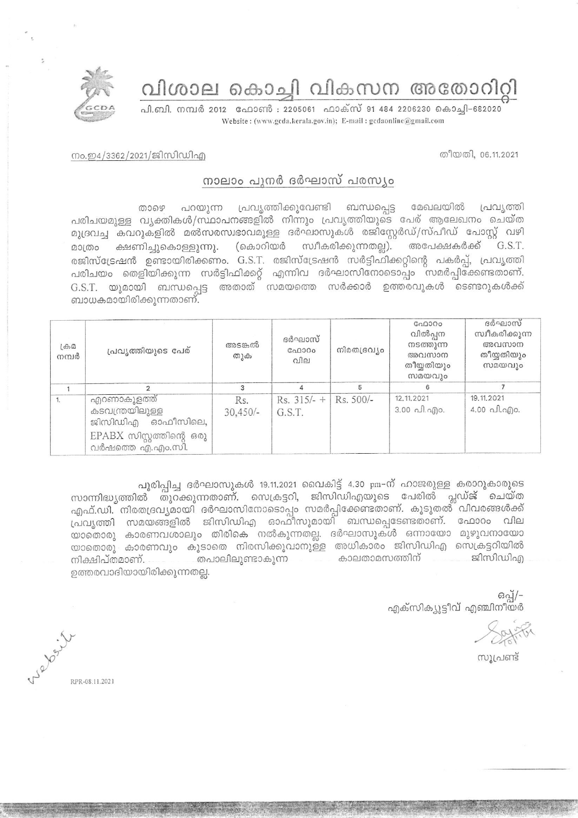വിശാല കൊച്ചി വികസന അതോറിറ്റി

പി.ബി. നമ്പർ 2012 - ഫോൺ : 2205061 - ഫാക്സ് 91 484 2206230 കൊച്ചി-682020 Website: (www.gcda.kerala.gov.in); E-mail: gcdaonline@gmail.com

തീയതി, 06.11.2021

## നം.ഇ4/3362/2021/ജിസിഡിഎ

## നാലാം പുനർ ദർഘാസ് പരസ്യം

പറയുന്ന പ്രവൃത്തിക്കുവേണ്ടി ബന്ധപ്പെട്ട മേഖലയിൽ പ്രവൃത്തി താഴെ പരിചയമുള്ള വ്യക്തികൾ/സ്ഥാപനങ്ങളിൽ നിന്നും പ്രവൃത്തിയുടെ പേര് ആലേഖനം ചെയ്ത മുദ്രവച്ച കവറുകളിൽ മൽസരസ്വഭാവമുള്ള ദർഘാസുകൾ രജിസ്റ്റേർഡ്/സ്പീഡ് പോസ്റ്റ് വഴി സ്വീകരിക്കുന്നതല്ല). അപേക്ഷകർക്ക് (കൊറിയർ G.S.T. ക്ഷണിച്ചുകൊള്ളുന്നു. മാത്രം രജിസ്ട്രേഷൻ ഉണ്ടായിരിക്കണം. G.S.T. രജിസ്ട്രേഷൻ സർട്ടിഫിക്കറ്റിന്റെ പകർപ്പ്, പ്രവൃത്തി പരിചയം തെളിയിക്കുന്ന സർട്ടിഫിക്കറ്റ് എന്നിവ ദർഘാസിനോടൊപ്പം സമർപ്പിക്കേണ്ടതാണ്.  $G.S.T.$  യുമായി ബന്ധപ്പെട്ട അതാത് സമയത്തെ സർക്കാർ ഉത്തരവുകൾ ടെണ്ടറുകൾക്ക് ബാധകമായിരിക്കുന്നതാണ്.

| $L \oplus \Omega$<br>നമ്പർ | പ്രവൃത്തിയുടെ പേര്                                                                                  | അടങ്കൽ<br>തുക     | ദർഘാസ്<br>C <sub>0</sub> 0000<br>വില | നിരതദ്രവ്യം | G <sub>0</sub> 000<br>വിൽപന<br>നടത്തുന്ന<br>അവസാന<br>തീയ്യതിയും<br>സമയവും | ദർഘാസ്<br>സ്വീകരിക്കുന്ന<br>അവസാന<br>തീയ്യതിയും<br>സമയവും |
|----------------------------|-----------------------------------------------------------------------------------------------------|-------------------|--------------------------------------|-------------|---------------------------------------------------------------------------|-----------------------------------------------------------|
|                            |                                                                                                     | 3                 |                                      | 5           |                                                                           |                                                           |
|                            | എറണാകുളത്ത്<br>കടവന്ത്രയിലുള്ള<br>ജിസിഡിഎ ഓഫീസിലെ,<br>EPABX സിസ്റ്റത്തിന്റെ ഒരു<br>വർഷത്തെ എ.എം.സി. | Rs.<br>$30,450/-$ | Rs. $315/-$ +<br>G.S.T.              | Rs. 500/-   | 12.11.2021<br>$3.00 \text{ all } q_0$ o.                                  | 19.11.2021<br>$4.00 \text{ }\Omega$ . $\Omega$ .          |

പൂരിപ്പിച്ച ദർഘാസുകൾ 19.11.2021 വൈകിട്ട് 4.30 pm-ന് ഹാജരുള്ള കരാറുകാരുടെ സാന്നിദ്ധൃത്തിൽ തുറക്കുന്നതാണ്. സെക്രട്ടറി, ജിസിഡിഎയുടെ പേരിൽ പ്ലഡ്ജ് ചെയ്ത<br>എഫ്.ഡി. നിരതദ്രവൃമായി ദർഘാസിനോടൊപ്പം സമർപ്പിക്കേണ്ടതാണ്. കൂടുതൽ വിവരങ്ങൾക്ക് പ്രവൃത്തി സമയങ്ങളിൽ ജിസിഡിഎ ഓഫ്ീസുമായി ബന്ധപ്പെടേണ്ടതാണ്. ഫോറം വില യാതൊരു കാരണവശാലും തിരികെ നൽകുന്നതല്ല. ദർഘാസുകൾ ഒന്നായോ മുഴുവനായോ യാതൊരു കാരണവും കൂടാതെ നിരസിക്കുവാനുള്ള അധികാരം ജിസിഡിഎ സെക്രട്ടറിയിൽ കാലതാമസത്തിന് ജിസിഡിഎ തപാലിലുണ്ടാകുന്ന നിക്ഷിപ്തമാണ്. ഉത്തരവാദിയായിരിക്കുന്നതല്ല.

> ഒപ്പ്/-എക്സിക്യൂട്ടീവ് എഞ്ചിനീയർ

സുപ്രണ്ട്

**V.S.S.** RPR-08.11.2021

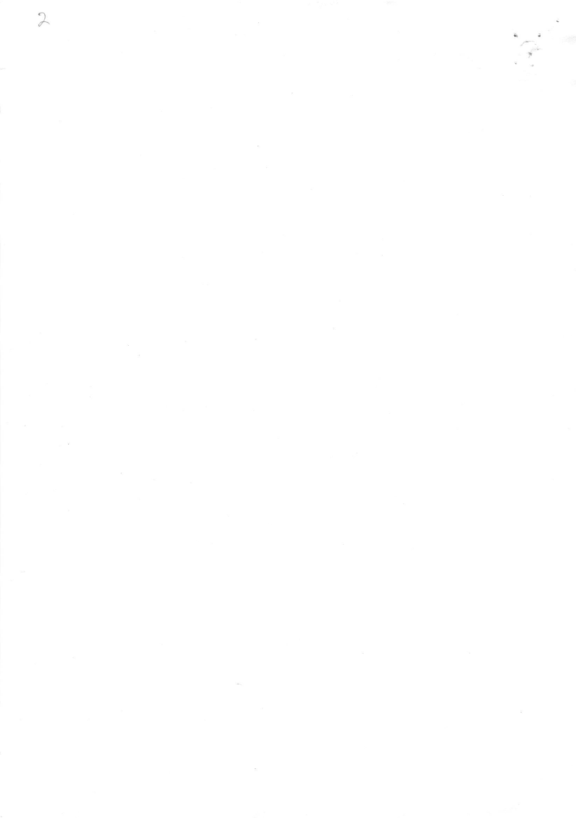